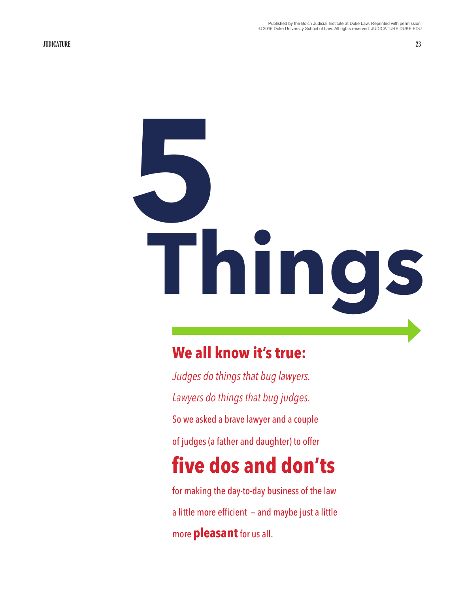# **5 Things**

### **We all know it's true:**

*Judges do things that bug lawyers. Lawyers do things that bug judges.*  So we asked a brave lawyer and a couple of judges (a father and daughter) to offer **five dos and don'ts** for making the day-to-day business of the law a little more efficient — and maybe just a little

more **pleasant** for us all.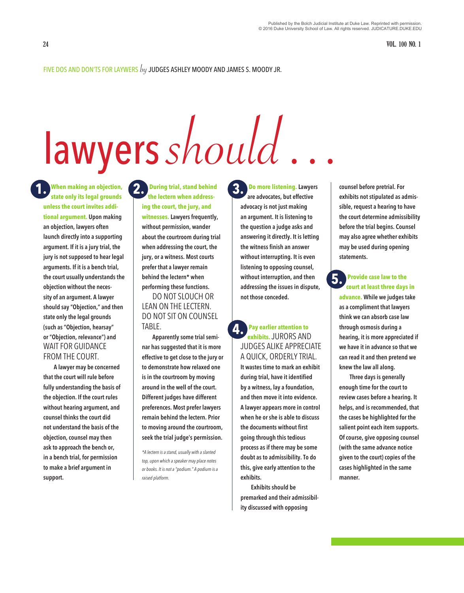### FIVE DOS AND DON'TS FOR LAYWERS  $b$ y JUDGES ASHLEY MOODY AND JAMES S. MOODY JR.

# **lawyers** should.

**state only its legal grounds unless the court invites additional argument. Upon making an objection, lawyers often launch directly into a supporting argument. If it is a jury trial, the jury is not supposed to hear legal arguments. If it is a bench trial, the court usually understands the objection without the necessity of an argument. A lawyer should say "Objection," and then state only the legal grounds (such as "Objection, hearsay" or "Objection, relevance") and**  WAIT FOR GUIDANCE FROM THE COURT.

**A lawyer may be concerned that the court will rule before fully understanding the basis of the objection. If the court rules without hearing argument, and counsel thinks the court did not understand the basis of the objection, counsel may then ask to approach the bench or, in a bench trial, for permission to make a brief argument in support.** 

**When making an objection, 1. 2. 3. During trial, stand behind the lectern when addressing the court, the jury, and witnesses. Lawyers frequently, without permission, wander about the courtroom during trial when addressing the court, the jury, or a witness. Most courts prefer that a lawyer remain behind the lectern\* when performing these functions.** 

### DO NOT SLOUCH OR LEAN ON THE LECTERN. DO NOT SIT ON COUNSEL TABLE.

**Apparently some trial seminar has suggested that it is more effective to get close to the jury or to demonstrate how relaxed one is in the courtroom by moving around in the well of the court. Different judges have different preferences. Most prefer lawyers remain behind the lectern. Prior to moving around the courtroom, seek the trial judge's permission.** 

*\*A lectern is a stand, usually with a slanted top, upon which a speaker may place notes or books. It is not a "podium." A podium is a raised platform.*

 **Do more listening. Lawyers are advocates, but effective advocacy is not just making an argument. It is listening to the question a judge asks and answering it directly. It is letting the witness finish an answer without interrupting. It is even listening to opposing counsel, without interruption, and then addressing the issues in dispute, not those conceded.** 

### **Pay earlier attention to exhibits.** JURORS AND JUDGES ALIKE APPRECIATE A QUICK, ORDERLY TRIAL. **4.**

**It wastes time to mark an exhibit during trial, have it identified by a witness, lay a foundation, and then move it into evidence. A lawyer appears more in control when he or she is able to discuss the documents without first going through this tedious process as if there may be some doubt as to admissibility. To do this, give early attention to the exhibits.** 

**Exhibits should be premarked and their admissibility discussed with opposing** 

**counsel before pretrial. For exhibits not stipulated as admissible, request a hearing to have the court determine admissibility before the trial begins. Counsel may also agree whether exhibits may be used during opening statements.** 

### **Provide case law to the court at least three days in 5.**

**advance. While we judges take as a compliment that lawyers think we can absorb case law through osmosis during a hearing, it is more appreciated if we have it in advance so that we can read it and then pretend we knew the law all along.** 

**Three days is generally enough time for the court to review cases before a hearing. It helps, and is recommended, that the cases be highlighted for the salient point each item supports. Of course, give opposing counsel (with the same advance notice given to the court) copies of the cases highlighted in the same manner.**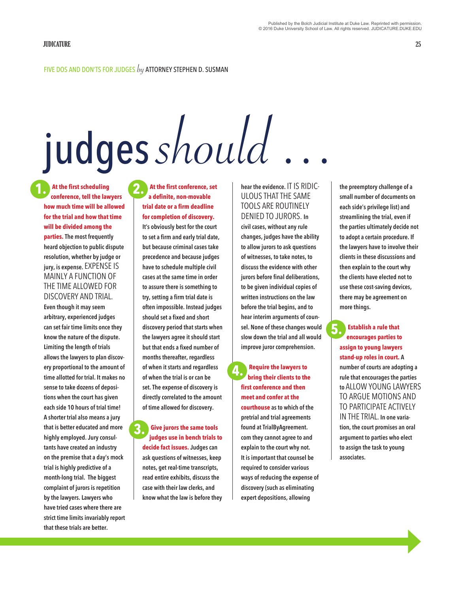### FIVE DOS AND DON'TS FOR JUDGES  $by$  attorney stephen D. Susman

## judges should

 **At the first scheduling conference, tell the lawyers how much time will be allowed for the trial and how that time will be divided among the parties. The most frequently heard objection to public dispute resolution, whether by judge or jury, is expense.** EXPENSE IS MAINLY A FUNCTION OF THE TIME ALLOWED FOR DISCOVERY AND TRIAL. **1.**

**Even though it may seem arbitrary, experienced judges can set fair time limits once they know the nature of the dispute. Limiting the length of trials allows the lawyers to plan discovery proportional to the amount of time allotted for trial. It makes no sense to take dozens of depositions when the court has given each side 10 hours of trial time! A shorter trial also means a jury that is better educated and more highly employed. Jury consultants have created an industry on the premise that a day's mock trial is highly predictive of a month-long trial. The biggest complaint of jurors is repetition by the lawyers. Lawyers who have tried cases where there are strict time limits invariably report that these trials are better.**

 **At the first conference, set a definite, non-movable trial date or a firm deadline for completion of discovery. It's obviously best for the court to set a firm and early trial date, but because criminal cases take precedence and because judges have to schedule multiple civil cases at the same time in order to assure there is something to try, setting a firm trial date is often impossible. Instead judges should set a fixed and short discovery period that starts when the lawyers agree it should start but that ends a fixed number of months thereafter, regardless of when it starts and regardless of when the trial is or can be set. The expense of discovery is directly correlated to the amount of time allowed for discovery. 2.**

### **Give jurors the same tools judges use in bench trials to 3.**

**decide fact issues. Judges can ask questions of witnesses, keep notes, get real-time transcripts, read entire exhibits, discuss the case with their law clerks, and know what the law is before they**  **hear the evidence.** IT IS RIDIC-ULOUS THAT THE SAME TOOLS ARE ROUTINELY DENIED TO JURORS. **In civil cases, without any rule changes, judges have the ability to allow jurors to ask questions of witnesses, to take notes, to discuss the evidence with other jurors before final deliberations, to be given individual copies of written instructions on the law before the trial begins, and to hear interim arguments of counsel. None of these changes would slow down the trial and all would improve juror comprehension.**

 **Require the lawyers to bring their clients to the first conference and then meet and confer at the courthouse as to which of the pretrial and trial agreements found at TrialByAgreement. com they cannot agree to and explain to the court why not. It is important that counsel be required to consider various ways of reducing the expense of discovery (such as eliminating expert depositions, allowing 4.**

**the preemptory challenge of a small number of documents on each side's privilege list) and streamlining the trial, even if the parties ultimately decide not to adopt a certain procedure. If the lawyers have to involve their clients in these discussions and then explain to the court why the clients have elected not to use these cost-saving devices, there may be agreement on more things.**

### **Establish a rule that encourages parties to assign to young lawyers stand-up roles in court. A number of courts are adopting a rule that encourages the parties to** ALLOW YOUNG LAWYERS TO ARGUE MOTIONS AND TO PARTICIPATE ACTIVELY IN THE TRIAL. **In one variation, the court promises an oral argument to parties who elect to assign the task to young associates. 5.**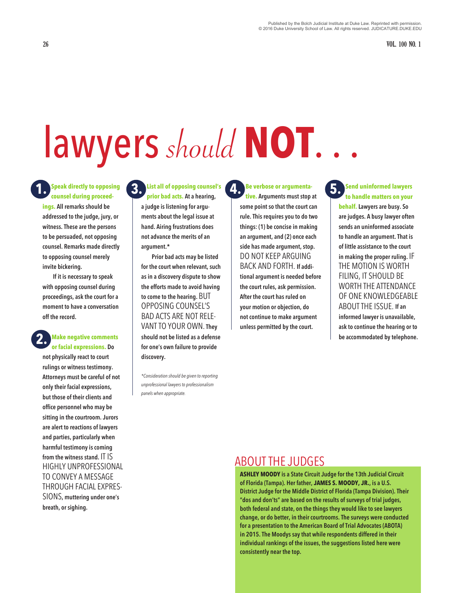**26 VOL. 100 NO. 1**

### lawyers should **NOT**. . .

**Speak directly to opposing 1. 3. counsel during proceedings. All remarks should be addressed to the judge, jury, or witness. These are the persons to be persuaded, not opposing counsel. Remarks made directly to opposing counsel merely invite bickering.** 

**If it is necessary to speak with opposing counsel during proceedings, ask the court for a moment to have a conversation off the record.** 

### **Make negative comments or facial expressions. Do 2.**

**not physically react to court rulings or witness testimony. Attorneys must be careful of not only their facial expressions, but those of their clients and office personnel who may be sitting in the courtroom. Jurors are alert to reactions of lawyers and parties, particularly when harmful testimony is coming from the witness stand.** IT IS HIGHLY UNPROFESSIONAL TO CONVEY A MESSAGE THROUGH FACIAL EXPRES-SIONS**, muttering under one's breath, or sighing.** 

**List all of opposing counsel's prior bad acts. At a hearing, a judge is listening for arguments about the legal issue at hand. Airing frustrations does** 

**not advance the merits of an** 

**argument.\* Prior bad acts may be listed for the court when relevant, such as in a discovery dispute to show the efforts made to avoid having to come to the hearing.** BUT OPPOSING COUNSEL'S BAD ACTS ARE NOT RELE-VANT TO YOUR OWN. **They should not be listed as a defense for one's own failure to provide discovery.** 

*\*Consideration should be given to reporting unprofessional lawyers to professionalism panels when appropriate.*

**Be verbose or argumenta-4. 5. tive. Arguments must stop at some point so that the court can rule. This requires you to do two things: (1) be concise in making an argument, and (2) once each side has made argument, stop.**  DO NOT KEEP ARGUING BACK AND FORTH. **If additional argument is needed before the court rules, ask permission. After the court has ruled on your motion or objection, do not continue to make argument unless permitted by the court.** 

**Send uninformed lawyers to handle matters on your behalf. Lawyers are busy. So are judges. A busy lawyer often sends an uninformed associate to handle an argument. That is of little assistance to the court in making the proper ruling.** IF THE MOTION IS WORTH FILING, IT SHOULD BE WORTH THE ATTENDANCE OF ONE KNOWLEDGEABLE ABOUT THE ISSUE. **If an informed lawyer is unavailable, ask to continue the hearing or to be accommodated by telephone.** 

### ABOUT THE JUDGES

**ASHLEY MOODY is a State Circuit Judge for the 13th Judicial Circuit of Florida (Tampa). Her father, JAMES S. MOODY, JR., is a U.S. District Judge for the Middle District of Florida (Tampa Division). Their "dos and don'ts" are based on the results of surveys of trial judges, both federal and state, on the things they would like to see lawyers change, or do better, in their courtrooms. The surveys were conducted for a presentation to the American Board of Trial Advocates (ABOTA) in 2015. The Moodys say that while respondents differed in their individual rankings of the issues, the suggestions listed here were consistently near the top.**